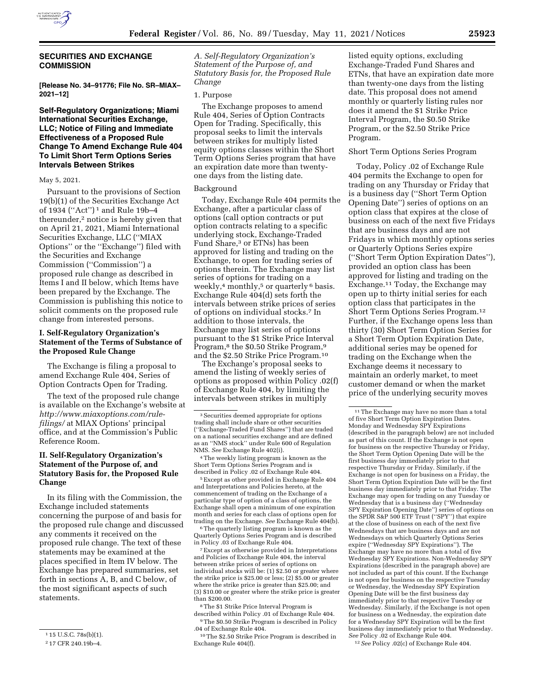

# **SECURITIES AND EXCHANGE COMMISSION**

**[Release No. 34–91776; File No. SR–MIAX– 2021–12]** 

# **Self-Regulatory Organizations; Miami International Securities Exchange, LLC; Notice of Filing and Immediate Effectiveness of a Proposed Rule Change To Amend Exchange Rule 404 To Limit Short Term Options Series Intervals Between Strikes**

### May 5, 2021.

Pursuant to the provisions of Section 19(b)(1) of the Securities Exchange Act of 1934 (''Act'') 1 and Rule 19b–4 thereunder,2 notice is hereby given that on April 21, 2021, Miami International Securities Exchange, LLC (''MIAX Options'' or the ''Exchange'') filed with the Securities and Exchange Commission (''Commission'') a proposed rule change as described in Items I and II below, which Items have been prepared by the Exchange. The Commission is publishing this notice to solicit comments on the proposed rule change from interested persons.

# **I. Self-Regulatory Organization's Statement of the Terms of Substance of the Proposed Rule Change**

The Exchange is filing a proposal to amend Exchange Rule 404, Series of Option Contracts Open for Trading.

The text of the proposed rule change is available on the Exchange's website at *[http://www.miaxoptions.com/rule](http://www.miaxoptions.com/rule-filings/)[filings/](http://www.miaxoptions.com/rule-filings/)* at MIAX Options' principal office, and at the Commission's Public Reference Room.

# **II. Self-Regulatory Organization's Statement of the Purpose of, and Statutory Basis for, the Proposed Rule Change**

In its filing with the Commission, the Exchange included statements concerning the purpose of and basis for the proposed rule change and discussed any comments it received on the proposed rule change. The text of these statements may be examined at the places specified in Item IV below. The Exchange has prepared summaries, set forth in sections A, B, and C below, of the most significant aspects of such statements.

*A. Self-Regulatory Organization's Statement of the Purpose of, and Statutory Basis for, the Proposed Rule Change* 

## 1. Purpose

The Exchange proposes to amend Rule 404, Series of Option Contracts Open for Trading. Specifically, this proposal seeks to limit the intervals between strikes for multiply listed equity options classes within the Short Term Options Series program that have an expiration date more than twentyone days from the listing date.

#### Background

Today, Exchange Rule 404 permits the Exchange, after a particular class of options (call option contracts or put option contracts relating to a specific underlying stock, Exchange-Traded Fund Share,3 or ETNs) has been approved for listing and trading on the Exchange, to open for trading series of options therein. The Exchange may list series of options for trading on a weekly,<sup>4</sup> monthly,<sup>5</sup> or quarterly<sup>6</sup> basis. Exchange Rule 404(d) sets forth the intervals between strike prices of series of options on individual stocks.7 In addition to those intervals, the Exchange may list series of options pursuant to the \$1 Strike Price Interval Program,<sup>8</sup> the \$0.50 Strike Program,<sup>9</sup> and the \$2.50 Strike Price Program.10

The Exchange's proposal seeks to amend the listing of weekly series of options as proposed within Policy .02(f) of Exchange Rule 404, by limiting the intervals between strikes in multiply

4The weekly listing program is known as the Short Term Options Series Program and is described in Policy .02 of Exchange Rule 404.

5Except as other provided in Exchange Rule 404 and Interpretations and Policies hereto, at the commencement of trading on the Exchange of a particular type of option of a class of options, the Exchange shall open a minimum of one expiration month and series for each class of options open for trading on the Exchange. *See* Exchange Rule 404(b).

<sup>6</sup>The quarterly listing program is known as the Quarterly Options Series Program and is described in Policy .03 of Exchange Rule 404.

7Except as otherwise provided in Interpretations and Policies of Exchange Rule 404, the interval between strike prices of series of options on individual stocks will be:  $(1)$  \$2.50 or greater where the strike price is \$25.00 or less; (2) \$5.00 or greater where the strike price is greater than \$25.00; and (3) \$10.00 or greater where the strike price is greater than \$200.00.

8The \$1 Strike Price Interval Program is described within Policy .01 of Exchange Rule 404. 9The \$0.50 Strike Program is described in Policy

listed equity options, excluding Exchange-Traded Fund Shares and ETNs, that have an expiration date more than twenty-one days from the listing date. This proposal does not amend monthly or quarterly listing rules nor does it amend the \$1 Strike Price Interval Program, the \$0.50 Strike Program, or the \$2.50 Strike Price Program.

## Short Term Options Series Program

Today, Policy .02 of Exchange Rule 404 permits the Exchange to open for trading on any Thursday or Friday that is a business day (''Short Term Option Opening Date'') series of options on an option class that expires at the close of business on each of the next five Fridays that are business days and are not Fridays in which monthly options series or Quarterly Options Series expire (''Short Term Option Expiration Dates''), provided an option class has been approved for listing and trading on the Exchange.11 Today, the Exchange may open up to thirty initial series for each option class that participates in the Short Term Options Series Program.12 Further, if the Exchange opens less than thirty (30) Short Term Option Series for a Short Term Option Expiration Date, additional series may be opened for trading on the Exchange when the Exchange deems it necessary to maintain an orderly market, to meet customer demand or when the market price of the underlying security moves

12*See* Policy .02(c) of Exchange Rule 404.

<sup>&</sup>lt;sup>1</sup> 15 U.S.C. 78s(b)(1).

<sup>2</sup> 17 CFR 240.19b–4.

<sup>3</sup>Securities deemed appropriate for options trading shall include share or other securities (''Exchange-Traded Fund Shares'') that are traded on a national securities exchange and are defined as an ''NMS stock'' under Rule 600 of Regulation NMS. *See* Exchange Rule 402(i).

<sup>.04</sup> of Exchange Rule 404.

<sup>10</sup>The \$2.50 Strike Price Program is described in Exchange Rule 404(f).

 $^{\rm 11}\!$  The Exchange may have no more than a total of five Short Term Option Expiration Dates. Monday and Wednesday SPY Expirations (described in the paragraph below) are not included as part of this count. If the Exchange is not open for business on the respective Thursday or Friday, the Short Term Option Opening Date will be the first business day immediately prior to that respective Thursday or Friday. Similarly, if the Exchange is not open for business on a Friday, the Short Term Option Expiration Date will be the first business day immediately prior to that Friday. The Exchange may open for trading on any Tuesday or Wednesday that is a business day (''Wednesday SPY Expiration Opening Date'') series of options on the SPDR S&P 500 ETF Trust (''SPY'') that expire at the close of business on each of the next five Wednesdays that are business days and are not Wednesdays on which Quarterly Options Series expire (''Wednesday SPY Expirations''). The Exchange may have no more than a total of five Wednesday SPY Expirations. Non-Wednesday SPY Expirations (described in the paragraph above) are not included as part of this count. If the Exchange is not open for business on the respective Tuesday or Wednesday, the Wednesday SPY Expiration Opening Date will be the first business day immediately prior to that respective Tuesday or Wednesday. Similarly, if the Exchange is not open for business on a Wednesday, the expiration date for a Wednesday SPY Expiration will be the first business day immediately prior to that Wednesday. *See* Policy .02 of Exchange Rule 404.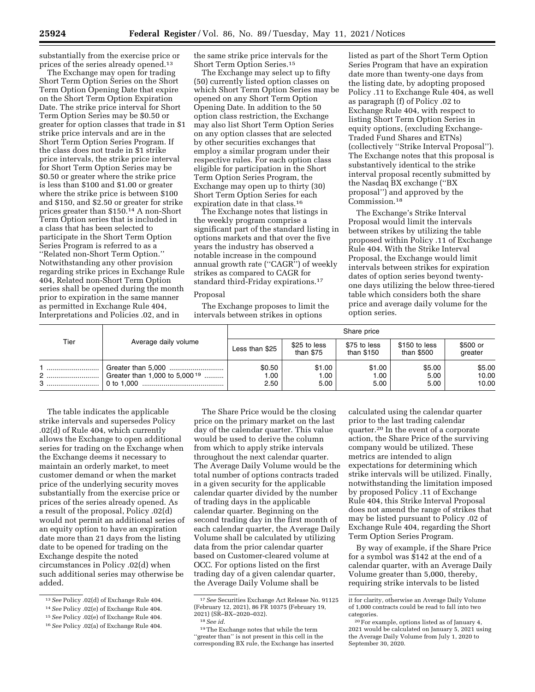substantially from the exercise price or prices of the series already opened.13

The Exchange may open for trading Short Term Option Series on the Short Term Option Opening Date that expire on the Short Term Option Expiration Date. The strike price interval for Short Term Option Series may be \$0.50 or greater for option classes that trade in \$1 strike price intervals and are in the Short Term Option Series Program. If the class does not trade in \$1 strike price intervals, the strike price interval for Short Term Option Series may be \$0.50 or greater where the strike price is less than \$100 and \$1.00 or greater where the strike price is between \$100 and \$150, and \$2.50 or greater for strike prices greater than \$150.14 A non-Short Term Option series that is included in a class that has been selected to participate in the Short Term Option Series Program is referred to as a ''Related non-Short Term Option.'' Notwithstanding any other provision regarding strike prices in Exchange Rule 404, Related non-Short Term Option series shall be opened during the month prior to expiration in the same manner as permitted in Exchange Rule 404, Interpretations and Policies .02, and in

the same strike price intervals for the Short Term Option Series.15

The Exchange may select up to fifty (50) currently listed option classes on which Short Term Option Series may be opened on any Short Term Option Opening Date. In addition to the 50 option class restriction, the Exchange may also list Short Term Option Series on any option classes that are selected by other securities exchanges that employ a similar program under their respective rules. For each option class eligible for participation in the Short Term Option Series Program, the Exchange may open up to thirty (30) Short Term Option Series for each expiration date in that class.16

The Exchange notes that listings in the weekly program comprise a significant part of the standard listing in options markets and that over the five years the industry has observed a notable increase in the compound annual growth rate (''CAGR'') of weekly strikes as compared to CAGR for standard third-Friday expirations.17

### Proposal

The Exchange proposes to limit the intervals between strikes in options

listed as part of the Short Term Option Series Program that have an expiration date more than twenty-one days from the listing date, by adopting proposed Policy .11 to Exchange Rule 404, as well as paragraph (f) of Policy .02 to Exchange Rule 404, with respect to listing Short Term Option Series in equity options, (excluding Exchange-Traded Fund Shares and ETNs) (collectively ''Strike Interval Proposal''). The Exchange notes that this proposal is substantively identical to the strike interval proposal recently submitted by the Nasdaq BX exchange (''BX proposal'') and approved by the Commission.18

The Exchange's Strike Interval Proposal would limit the intervals between strikes by utilizing the table proposed within Policy .11 of Exchange Rule 404. With the Strike Interval Proposal, the Exchange would limit intervals between strikes for expiration dates of option series beyond twentyone days utilizing the below three-tiered table which considers both the share price and average daily volume for the option series.

| Tier | Average daily volume                      | Share price            |                           |                            |                             |                          |
|------|-------------------------------------------|------------------------|---------------------------|----------------------------|-----------------------------|--------------------------|
|      |                                           | Less than \$25         | \$25 to less<br>than \$75 | \$75 to less<br>than \$150 | \$150 to less<br>than \$500 | \$500 or<br>greater      |
| 2    | Greater than 1,000 to 5,000 <sup>19</sup> | \$0.50<br>1.00<br>2.50 | \$1.00<br>1.00<br>5.00    | \$1.00<br>1.00<br>5.00     | \$5.00<br>5.00<br>5.00      | \$5.00<br>10.00<br>10.00 |

The Share Price would be the closing price on the primary market on the last day of the calendar quarter. This value would be used to derive the column from which to apply strike intervals throughout the next calendar quarter. The Average Daily Volume would be the total number of options contracts traded in a given security for the applicable calendar quarter divided by the number of trading days in the applicable calendar quarter. Beginning on the second trading day in the first month of each calendar quarter, the Average Daily Volume shall be calculated by utilizing data from the prior calendar quarter based on Customer-cleared volume at OCC. For options listed on the first trading day of a given calendar quarter, the Average Daily Volume shall be

The table indicates the applicable strike intervals and supersedes Policy .02(d) of Rule 404, which currently allows the Exchange to open additional series for trading on the Exchange when the Exchange deems it necessary to maintain an orderly market, to meet customer demand or when the market price of the underlying security moves substantially from the exercise price or prices of the series already opened. As a result of the proposal, Policy .02(d) would not permit an additional series of an equity option to have an expiration date more than 21 days from the listing date to be opened for trading on the Exchange despite the noted circumstances in Policy .02(d) when such additional series may otherwise be added.

 $2021$ ) (SR-BX-2020-032).

18*See id.* 

17*See* Securities Exchange Act Release No. 91125 (February 12, 2021), 86 FR 10375 (February 19,

calculated using the calendar quarter prior to the last trading calendar quarter.20 In the event of a corporate action, the Share Price of the surviving company would be utilized. These metrics are intended to align expectations for determining which strike intervals will be utilized. Finally, notwithstanding the limitation imposed by proposed Policy .11 of Exchange Rule 404, this Strike Interval Proposal does not amend the range of strikes that may be listed pursuant to Policy .02 of Exchange Rule 404, regarding the Short Term Option Series Program.

By way of example, if the Share Price for a symbol was \$142 at the end of a calendar quarter, with an Average Daily Volume greater than 5,000, thereby, requiring strike intervals to be listed

<sup>13</sup>*See* Policy .02(d) of Exchange Rule 404.

<sup>14</sup>*See* Policy .02(e) of Exchange Rule 404.

<sup>15</sup>*See* Policy .02(e) of Exchange Rule 404.

<sup>16</sup>*See* Policy .02(a) of Exchange Rule 404.

<sup>19</sup>The Exchange notes that while the term "greater than" is not present in this cell in the corresponding BX rule, the Exchange has inserted

it for clarity, otherwise an Average Daily Volume of 1,000 contracts could be read to fall into two categories.

<sup>20</sup>For example, options listed as of January 4, 2021 would be calculated on January 5, 2021 using the Average Daily Volume from July 1, 2020 to September 30, 2020.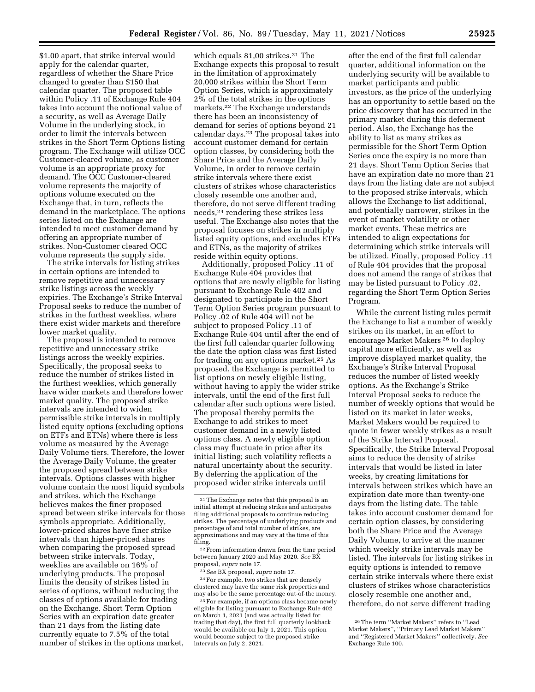\$1.00 apart, that strike interval would apply for the calendar quarter, regardless of whether the Share Price changed to greater than \$150 that calendar quarter. The proposed table within Policy .11 of Exchange Rule 404 takes into account the notional value of a security, as well as Average Daily Volume in the underlying stock, in order to limit the intervals between strikes in the Short Term Options listing program. The Exchange will utilize OCC Customer-cleared volume, as customer volume is an appropriate proxy for demand. The OCC Customer-cleared volume represents the majority of options volume executed on the Exchange that, in turn, reflects the demand in the marketplace. The options series listed on the Exchange are intended to meet customer demand by offering an appropriate number of strikes. Non-Customer cleared OCC volume represents the supply side.

The strike intervals for listing strikes in certain options are intended to remove repetitive and unnecessary strike listings across the weekly expiries. The Exchange's Strike Interval Proposal seeks to reduce the number of strikes in the furthest weeklies, where there exist wider markets and therefore lower market quality.

The proposal is intended to remove repetitive and unnecessary strike listings across the weekly expiries. Specifically, the proposal seeks to reduce the number of strikes listed in the furthest weeklies, which generally have wider markets and therefore lower market quality. The proposed strike intervals are intended to widen permissible strike intervals in multiply listed equity options (excluding options on ETFs and ETNs) where there is less volume as measured by the Average Daily Volume tiers. Therefore, the lower the Average Daily Volume, the greater the proposed spread between strike intervals. Options classes with higher volume contain the most liquid symbols and strikes, which the Exchange believes makes the finer proposed spread between strike intervals for those symbols appropriate. Additionally, lower-priced shares have finer strike intervals than higher-priced shares when comparing the proposed spread between strike intervals. Today, weeklies are available on 16% of underlying products. The proposal limits the density of strikes listed in series of options, without reducing the classes of options available for trading on the Exchange. Short Term Option Series with an expiration date greater than 21 days from the listing date currently equate to 7.5% of the total number of strikes in the options market,

which equals 81,00 strikes.<sup>21</sup> The Exchange expects this proposal to result in the limitation of approximately 20,000 strikes within the Short Term Option Series, which is approximately 2% of the total strikes in the options markets.22 The Exchange understands there has been an inconsistency of demand for series of options beyond 21 calendar days.23 The proposal takes into account customer demand for certain option classes, by considering both the Share Price and the Average Daily Volume, in order to remove certain strike intervals where there exist clusters of strikes whose characteristics closely resemble one another and, therefore, do not serve different trading needs,24 rendering these strikes less useful. The Exchange also notes that the proposal focuses on strikes in multiply listed equity options, and excludes ETFs and ETNs, as the majority of strikes reside within equity options.

Additionally, proposed Policy .11 of Exchange Rule 404 provides that options that are newly eligible for listing pursuant to Exchange Rule 402 and designated to participate in the Short Term Option Series program pursuant to Policy .02 of Rule 404 will not be subject to proposed Policy .11 of Exchange Rule 404 until after the end of the first full calendar quarter following the date the option class was first listed for trading on any options market.25 As proposed, the Exchange is permitted to list options on newly eligible listing, without having to apply the wider strike intervals, until the end of the first full calendar after such options were listed. The proposal thereby permits the Exchange to add strikes to meet customer demand in a newly listed options class. A newly eligible option class may fluctuate in price after its initial listing; such volatility reflects a natural uncertainty about the security. By deferring the application of the proposed wider strike intervals until

22From information drawn from the time period between January 2020 and May 2020. *See* BX proposal, *supra* note 17.

23*See* BX proposal, *supra* note 17.

24For example, two strikes that are densely clustered may have the same risk properties and may also be the same percentage out-of-the money.

25For example, if an options class became newly eligible for listing pursuant to Exchange Rule 402 on March 1, 2021 (and was actually listed for trading that day), the first full quarterly lookback would be available on July 1, 2021. This option would become subject to the proposed strike intervals on July 2, 2021.

after the end of the first full calendar quarter, additional information on the underlying security will be available to market participants and public investors, as the price of the underlying has an opportunity to settle based on the price discovery that has occurred in the primary market during this deferment period. Also, the Exchange has the ability to list as many strikes as permissible for the Short Term Option Series once the expiry is no more than 21 days. Short Term Option Series that have an expiration date no more than 21 days from the listing date are not subject to the proposed strike intervals, which allows the Exchange to list additional, and potentially narrower, strikes in the event of market volatility or other market events. These metrics are intended to align expectations for determining which strike intervals will be utilized. Finally, proposed Policy .11 of Rule 404 provides that the proposal does not amend the range of strikes that may be listed pursuant to Policy .02, regarding the Short Term Option Series Program.

While the current listing rules permit the Exchange to list a number of weekly strikes on its market, in an effort to encourage Market Makers 26 to deploy capital more efficiently, as well as improve displayed market quality, the Exchange's Strike Interval Proposal reduces the number of listed weekly options. As the Exchange's Strike Interval Proposal seeks to reduce the number of weekly options that would be listed on its market in later weeks, Market Makers would be required to quote in fewer weekly strikes as a result of the Strike Interval Proposal. Specifically, the Strike Interval Proposal aims to reduce the density of strike intervals that would be listed in later weeks, by creating limitations for intervals between strikes which have an expiration date more than twenty-one days from the listing date. The table takes into account customer demand for certain option classes, by considering both the Share Price and the Average Daily Volume, to arrive at the manner which weekly strike intervals may be listed. The intervals for listing strikes in equity options is intended to remove certain strike intervals where there exist clusters of strikes whose characteristics closely resemble one another and, therefore, do not serve different trading

<sup>21</sup>The Exchange notes that this proposal is an initial attempt at reducing strikes and anticipates filing additional proposals to continue reducing strikes. The percentage of underlying products and percentage of and total number of strikes, are approximations and may vary at the time of this filing.

<sup>26</sup>The term ''Market Makers'' refers to ''Lead Market Makers'', ''Primary Lead Market Makers'' and ''Registered Market Makers'' collectively. *See*  Exchange Rule 100.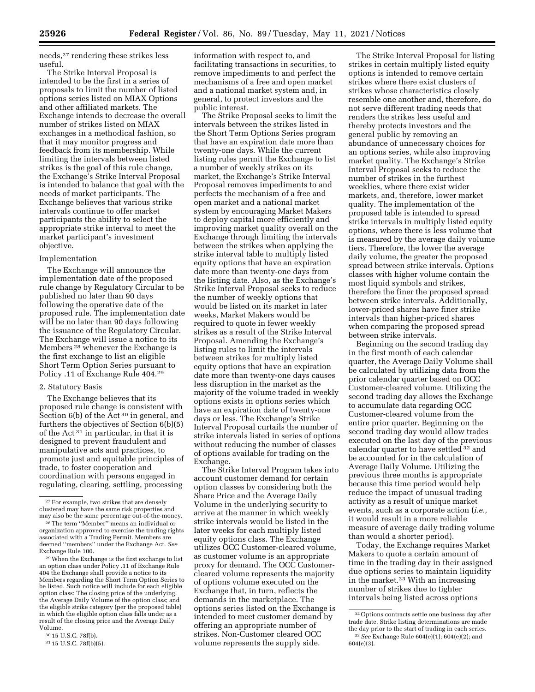needs,27 rendering these strikes less useful.

The Strike Interval Proposal is intended to be the first in a series of proposals to limit the number of listed options series listed on MIAX Options and other affiliated markets. The Exchange intends to decrease the overall number of strikes listed on MIAX exchanges in a methodical fashion, so that it may monitor progress and feedback from its membership. While limiting the intervals between listed strikes is the goal of this rule change, the Exchange's Strike Interval Proposal is intended to balance that goal with the needs of market participants. The Exchange believes that various strike intervals continue to offer market participants the ability to select the appropriate strike interval to meet the market participant's investment objective.

## Implementation

The Exchange will announce the implementation date of the proposed rule change by Regulatory Circular to be published no later than 90 days following the operative date of the proposed rule. The implementation date will be no later than 90 days following the issuance of the Regulatory Circular. The Exchange will issue a notice to its Members 28 whenever the Exchange is the first exchange to list an eligible Short Term Option Series pursuant to Policy .11 of Exchange Rule 404.29

### 2. Statutory Basis

The Exchange believes that its proposed rule change is consistent with Section 6(b) of the Act<sup>30</sup> in general, and furthers the objectives of Section 6(b)(5) of the Act 31 in particular, in that it is designed to prevent fraudulent and manipulative acts and practices, to promote just and equitable principles of trade, to foster cooperation and coordination with persons engaged in regulating, clearing, settling, processing

information with respect to, and facilitating transactions in securities, to remove impediments to and perfect the mechanisms of a free and open market and a national market system and, in general, to protect investors and the public interest.

The Strike Proposal seeks to limit the intervals between the strikes listed in the Short Term Options Series program that have an expiration date more than twenty-one days. While the current listing rules permit the Exchange to list a number of weekly strikes on its market, the Exchange's Strike Interval Proposal removes impediments to and perfects the mechanism of a free and open market and a national market system by encouraging Market Makers to deploy capital more efficiently and improving market quality overall on the Exchange through limiting the intervals between the strikes when applying the strike interval table to multiply listed equity options that have an expiration date more than twenty-one days from the listing date. Also, as the Exchange's Strike Interval Proposal seeks to reduce the number of weekly options that would be listed on its market in later weeks, Market Makers would be required to quote in fewer weekly strikes as a result of the Strike Interval Proposal. Amending the Exchange's listing rules to limit the intervals between strikes for multiply listed equity options that have an expiration date more than twenty-one days causes less disruption in the market as the majority of the volume traded in weekly options exists in options series which have an expiration date of twenty-one days or less. The Exchange's Strike Interval Proposal curtails the number of strike intervals listed in series of options without reducing the number of classes of options available for trading on the Exchange.

The Strike Interval Program takes into account customer demand for certain option classes by considering both the Share Price and the Average Daily Volume in the underlying security to arrive at the manner in which weekly strike intervals would be listed in the later weeks for each multiply listed equity options class. The Exchange utilizes OCC Customer-cleared volume, as customer volume is an appropriate proxy for demand. The OCC Customercleared volume represents the majority of options volume executed on the Exchange that, in turn, reflects the demands in the marketplace. The options series listed on the Exchange is intended to meet customer demand by offering an appropriate number of strikes. Non-Customer cleared OCC volume represents the supply side.

The Strike Interval Proposal for listing strikes in certain multiply listed equity options is intended to remove certain strikes where there exist clusters of strikes whose characteristics closely resemble one another and, therefore, do not serve different trading needs that renders the strikes less useful and thereby protects investors and the general public by removing an abundance of unnecessary choices for an options series, while also improving market quality. The Exchange's Strike Interval Proposal seeks to reduce the number of strikes in the furthest weeklies, where there exist wider markets, and, therefore, lower market quality. The implementation of the proposed table is intended to spread strike intervals in multiply listed equity options, where there is less volume that is measured by the average daily volume tiers. Therefore, the lower the average daily volume, the greater the proposed spread between strike intervals. Options classes with higher volume contain the most liquid symbols and strikes, therefore the finer the proposed spread between strike intervals. Additionally, lower-priced shares have finer strike intervals than higher-priced shares when comparing the proposed spread between strike intervals.

Beginning on the second trading day in the first month of each calendar quarter, the Average Daily Volume shall be calculated by utilizing data from the prior calendar quarter based on OCC Customer-cleared volume. Utilizing the second trading day allows the Exchange to accumulate data regarding OCC Customer-cleared volume from the entire prior quarter. Beginning on the second trading day would allow trades executed on the last day of the previous calendar quarter to have settled 32 and be accounted for in the calculation of Average Daily Volume. Utilizing the previous three months is appropriate because this time period would help reduce the impact of unusual trading activity as a result of unique market events, such as a corporate action (*i.e.,*  it would result in a more reliable measure of average daily trading volume than would a shorter period).

Today, the Exchange requires Market Makers to quote a certain amount of time in the trading day in their assigned due options series to maintain liquidity in the market.33 With an increasing number of strikes due to tighter intervals being listed across options

<sup>27</sup>For example, two strikes that are densely clustered may have the same risk properties and<br>may also be the same percentage out-of-the-money.

<sup>&</sup>lt;sup>28</sup> The term "Member" means an individual or organization approved to exercise the trading rights associated with a Trading Permit. Members are deemed ''members'' under the Exchange Act. *See*  Exchange Rule 100.

<sup>29</sup>When the Exchange is the first exchange to list an option class under Policy .11 of Exchange Rule 404 the Exchange shall provide a notice to its Members regarding the Short Term Option Series to be listed. Such notice will include for each eligible option class: The closing price of the underlying, the Average Daily Volume of the option class; and the eligible strike category (per the proposed table) in which the eligible option class falls under as a result of the closing price and the Average Daily Volume.

<sup>30</sup> 15 U.S.C. 78f(b).

<sup>31</sup> 15 U.S.C. 78f(b)(5).

<sup>32</sup>Options contracts settle one business day after trade date. Strike listing determinations are made the day prior to the start of trading in each series. 33*See* Exchange Rule 604(e)(1); 604(e)(2); and 604(e)(3).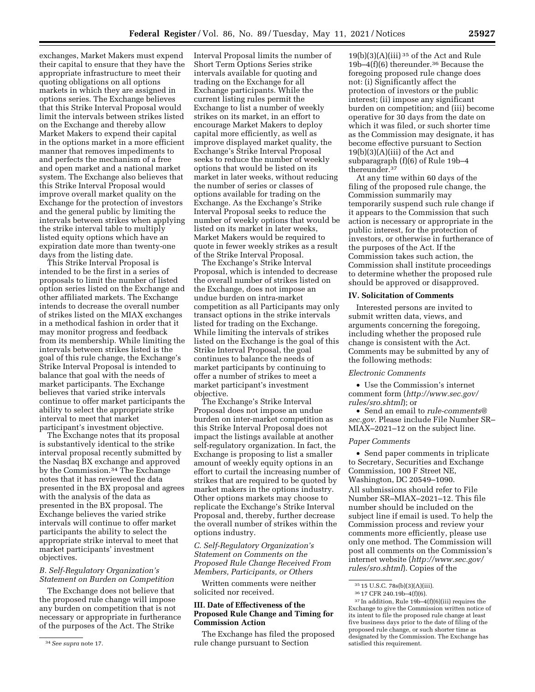exchanges, Market Makers must expend their capital to ensure that they have the appropriate infrastructure to meet their quoting obligations on all options markets in which they are assigned in options series. The Exchange believes that this Strike Interval Proposal would limit the intervals between strikes listed on the Exchange and thereby allow Market Makers to expend their capital in the options market in a more efficient manner that removes impediments to and perfects the mechanism of a free and open market and a national market system. The Exchange also believes that this Strike Interval Proposal would improve overall market quality on the Exchange for the protection of investors and the general public by limiting the intervals between strikes when applying the strike interval table to multiply listed equity options which have an expiration date more than twenty-one days from the listing date.

This Strike Interval Proposal is intended to be the first in a series of proposals to limit the number of listed option series listed on the Exchange and other affiliated markets. The Exchange intends to decrease the overall number of strikes listed on the MIAX exchanges in a methodical fashion in order that it may monitor progress and feedback from its membership. While limiting the intervals between strikes listed is the goal of this rule change, the Exchange's Strike Interval Proposal is intended to balance that goal with the needs of market participants. The Exchange believes that varied strike intervals continue to offer market participants the ability to select the appropriate strike interval to meet that market participant's investment objective.

The Exchange notes that its proposal is substantively identical to the strike interval proposal recently submitted by the Nasdaq BX exchange and approved by the Commission.<sup>34</sup> The Exchange notes that it has reviewed the data presented in the BX proposal and agrees with the analysis of the data as presented in the BX proposal. The Exchange believes the varied strike intervals will continue to offer market participants the ability to select the appropriate strike interval to meet that market participants' investment objectives.

## *B. Self-Regulatory Organization's Statement on Burden on Competition*

The Exchange does not believe that the proposed rule change will impose any burden on competition that is not necessary or appropriate in furtherance of the purposes of the Act. The Strike

Interval Proposal limits the number of Short Term Options Series strike intervals available for quoting and trading on the Exchange for all Exchange participants. While the current listing rules permit the Exchange to list a number of weekly strikes on its market, in an effort to encourage Market Makers to deploy capital more efficiently, as well as improve displayed market quality, the Exchange's Strike Interval Proposal seeks to reduce the number of weekly options that would be listed on its market in later weeks, without reducing the number of series or classes of options available for trading on the Exchange. As the Exchange's Strike Interval Proposal seeks to reduce the number of weekly options that would be listed on its market in later weeks, Market Makers would be required to quote in fewer weekly strikes as a result of the Strike Interval Proposal.

The Exchange's Strike Interval Proposal, which is intended to decrease the overall number of strikes listed on the Exchange, does not impose an undue burden on intra-market competition as all Participants may only transact options in the strike intervals listed for trading on the Exchange. While limiting the intervals of strikes listed on the Exchange is the goal of this Strike Interval Proposal, the goal continues to balance the needs of market participants by continuing to offer a number of strikes to meet a market participant's investment objective.

The Exchange's Strike Interval Proposal does not impose an undue burden on inter-market competition as this Strike Interval Proposal does not impact the listings available at another self-regulatory organization. In fact, the Exchange is proposing to list a smaller amount of weekly equity options in an effort to curtail the increasing number of strikes that are required to be quoted by market makers in the options industry. Other options markets may choose to replicate the Exchange's Strike Interval Proposal and, thereby, further decrease the overall number of strikes within the options industry.

# *C. Self-Regulatory Organization's Statement on Comments on the Proposed Rule Change Received From Members, Participants, or Others*

Written comments were neither solicited nor received.

## **III. Date of Effectiveness of the Proposed Rule Change and Timing for Commission Action**

The Exchange has filed the proposed rule change pursuant to Section

 $19(b)(3)(A)(iii)$ <sup>35</sup> of the Act and Rule 19b–4(f)(6) thereunder.36 Because the foregoing proposed rule change does not: (i) Significantly affect the protection of investors or the public interest; (ii) impose any significant burden on competition; and (iii) become operative for 30 days from the date on which it was filed, or such shorter time as the Commission may designate, it has become effective pursuant to Section  $19(b)(3)(A)(iii)$  of the Act and subparagraph (f)(6) of Rule 19b–4 thereunder.37

At any time within 60 days of the filing of the proposed rule change, the Commission summarily may temporarily suspend such rule change if it appears to the Commission that such action is necessary or appropriate in the public interest, for the protection of investors, or otherwise in furtherance of the purposes of the Act. If the Commission takes such action, the Commission shall institute proceedings to determine whether the proposed rule should be approved or disapproved.

# **IV. Solicitation of Comments**

Interested persons are invited to submit written data, views, and arguments concerning the foregoing, including whether the proposed rule change is consistent with the Act. Comments may be submitted by any of the following methods:

## *Electronic Comments*

• Use the Commission's internet comment form (*[http://www.sec.gov/](http://www.sec.gov/rules/sro.shtml)  [rules/sro.shtml](http://www.sec.gov/rules/sro.shtml)*); or

• Send an email to *[rule-comments@](mailto:rule-comments@sec.gov) [sec.gov.](mailto:rule-comments@sec.gov)* Please include File Number SR– MIAX–2021–12 on the subject line.

### *Paper Comments*

• Send paper comments in triplicate to Secretary, Securities and Exchange Commission, 100 F Street NE, Washington, DC 20549–1090. All submissions should refer to File Number SR–MIAX–2021–12. This file number should be included on the subject line if email is used. To help the Commission process and review your comments more efficiently, please use only one method. The Commission will post all comments on the Commission's internet website (*[http://www.sec.gov/](http://www.sec.gov/rules/sro.shtml)  [rules/sro.shtml](http://www.sec.gov/rules/sro.shtml)*). Copies of the

<sup>34</sup>*See supra* note 17.

<sup>35</sup> 15 U.S.C. 78s(b)(3)(A)(iii).

<sup>36</sup> 17 CFR 240.19b–4(f)(6).

<sup>37</sup> In addition, Rule 19b–4(f)(6)(iii) requires the Exchange to give the Commission written notice of its intent to file the proposed rule change at least five business days prior to the date of filing of the proposed rule change, or such shorter time as designated by the Commission. The Exchange has satisfied this requirement.